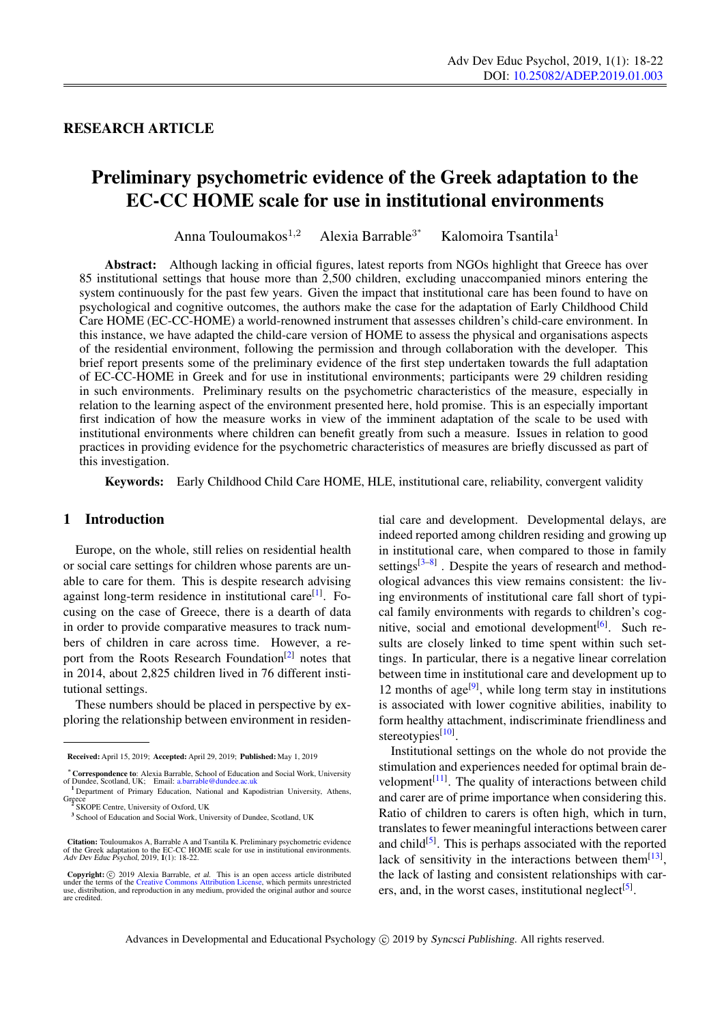# RESEARCH ARTICLE

# Preliminary psychometric evidence of the Greek adaptation to the EC-CC HOME scale for use in institutional environments

Anna Touloumakos $1,2$ Alexia Barrable<sup>3\*</sup> Kalomoira Tsantila<sup>1</sup>

Abstract: Although lacking in official figures, latest reports from NGOs highlight that Greece has over 85 institutional settings that house more than 2,500 children, excluding unaccompanied minors entering the system continuously for the past few years. Given the impact that institutional care has been found to have on psychological and cognitive outcomes, the authors make the case for the adaptation of Early Childhood Child Care HOME (EC-CC-HOME) a world-renowned instrument that assesses children's child-care environment. In this instance, we have adapted the child-care version of HOME to assess the physical and organisations aspects of the residential environment, following the permission and through collaboration with the developer. This brief report presents some of the preliminary evidence of the first step undertaken towards the full adaptation of EC-CC-HOME in Greek and for use in institutional environments; participants were 29 children residing in such environments. Preliminary results on the psychometric characteristics of the measure, especially in relation to the learning aspect of the environment presented here, hold promise. This is an especially important first indication of how the measure works in view of the imminent adaptation of the scale to be used with institutional environments where children can benefit greatly from such a measure. Issues in relation to good practices in providing evidence for the psychometric characteristics of measures are briefly discussed as part of this investigation.

Keywords: Early Childhood Child Care HOME, HLE, institutional care, reliability, convergent validity

# 1 Introduction

Europe, on the whole, still relies on residential health or social care settings for children whose parents are unable to care for them. This is despite research advising against long-term residence in institutional care<sup>[\[1\]](#page-3-0)</sup>. Focusing on the case of Greece, there is a dearth of data in order to provide comparative measures to track numbers of children in care across time. However, a re-port from the Roots Research Foundation<sup>[\[2\]](#page-3-1)</sup> notes that in 2014, about 2,825 children lived in 76 different institutional settings.

These numbers should be placed in perspective by exploring the relationship between environment in residential care and development. Developmental delays, are indeed reported among children residing and growing up in institutional care, when compared to those in family settings $[3-8]$  $[3-8]$ . Despite the years of research and methodological advances this view remains consistent: the living environments of institutional care fall short of typical family environments with regards to children's cog-nitive, social and emotional development<sup>[\[6\]](#page-3-4)</sup>. Such results are closely linked to time spent within such settings. In particular, there is a negative linear correlation between time in institutional care and development up to 12 months of age<sup>[\[9\]](#page-3-5)</sup>, while long term stay in institutions is associated with lower cognitive abilities, inability to form healthy attachment, indiscriminate friendliness and stereotypies<sup>[\[10\]](#page-3-6)</sup>.

Institutional settings on the whole do not provide the stimulation and experiences needed for optimal brain development $[11]$ . The quality of interactions between child and carer are of prime importance when considering this. Ratio of children to carers is often high, which in turn, translates to fewer meaningful interactions between carer and child<sup>[\[5\]](#page-3-8)</sup>. This is perhaps associated with the reported lack of sensitivity in the interactions between them $^{[13]}$  $^{[13]}$  $^{[13]}$ , the lack of lasting and consistent relationships with car-ers, and, in the worst cases, institutional neglect<sup>[\[5\]](#page-3-8)</sup>.

Advances in Developmental and Educational Psychology (C) 2019 by Syncsci Publishing. All rights reserved.

Received: April 15, 2019; Accepted: April 29, 2019; Published: May 1, 2019

<sup>∗</sup>Correspondence to: Alexia Barrable, School of Education and Social Work, University of Dundee, Scotland, UK; Email: <a.barrable@dundee.ac.uk>

<sup>1</sup> Department of Primary Education, National and Kapodistrian University, Athens, Greece<br>
<sup>2</sup> SKOPE Centre, University of Oxford, UK

<sup>&</sup>lt;sup>3</sup> School of Education and Social Work, University of Dundee, Scotland, UK

Citation: Touloumakos A, Barrable A and Tsantila K. Preliminary psychometric evidence of the Greek adaptation to the EC-CC HOME scale for use in institutional environments. Adv Dev Educ Psychol, 2019, 1(1): 18-22.

**Copyright:**  $\odot$  2019 Alexia Barrable, *et al.* This is an open access article distributed under the terms of the [Creative Commons Attribution License,](https://creativecommons.org/licenses/by/4.0/) which permits unrestricted use, distribution, and reproduction in a are credited.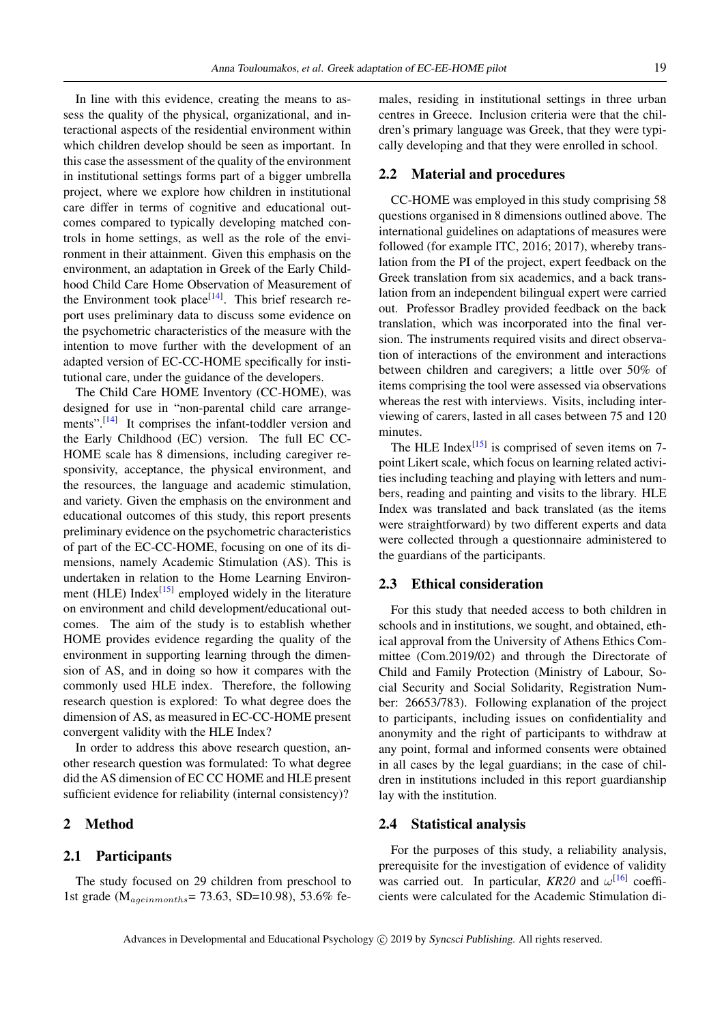In line with this evidence, creating the means to assess the quality of the physical, organizational, and interactional aspects of the residential environment within which children develop should be seen as important. In this case the assessment of the quality of the environment in institutional settings forms part of a bigger umbrella project, where we explore how children in institutional care differ in terms of cognitive and educational outcomes compared to typically developing matched controls in home settings, as well as the role of the environment in their attainment. Given this emphasis on the environment, an adaptation in Greek of the Early Childhood Child Care Home Observation of Measurement of the Environment took place<sup>[\[14\]](#page-3-10)</sup>. This brief research report uses preliminary data to discuss some evidence on the psychometric characteristics of the measure with the intention to move further with the development of an adapted version of EC-CC-HOME specifically for institutional care, under the guidance of the developers.

The Child Care HOME Inventory (CC-HOME), was designed for use in "non-parental child care arrange-ments".<sup>[\[14\]](#page-3-10)</sup> It comprises the infant-toddler version and the Early Childhood (EC) version. The full EC CC-HOME scale has 8 dimensions, including caregiver responsivity, acceptance, the physical environment, and the resources, the language and academic stimulation, and variety. Given the emphasis on the environment and educational outcomes of this study, this report presents preliminary evidence on the psychometric characteristics of part of the EC-CC-HOME, focusing on one of its dimensions, namely Academic Stimulation (AS). This is undertaken in relation to the Home Learning Environ-ment (HLE) Index<sup>[\[15\]](#page-3-11)</sup> employed widely in the literature on environment and child development/educational outcomes. The aim of the study is to establish whether HOME provides evidence regarding the quality of the environment in supporting learning through the dimension of AS, and in doing so how it compares with the commonly used HLE index. Therefore, the following research question is explored: To what degree does the dimension of AS, as measured in EC-CC-HOME present convergent validity with the HLE Index?

In order to address this above research question, another research question was formulated: To what degree did the AS dimension of EC CC HOME and HLE present sufficient evidence for reliability (internal consistency)?

# 2 Method

# 2.1 Participants

The study focused on 29 children from preschool to 1st grade ( $M_{\text{age}in months}$ = 73.63, SD=10.98), 53.6% females, residing in institutional settings in three urban centres in Greece. Inclusion criteria were that the children's primary language was Greek, that they were typically developing and that they were enrolled in school.

#### 2.2 Material and procedures

CC-HOME was employed in this study comprising 58 questions organised in 8 dimensions outlined above. The international guidelines on adaptations of measures were followed (for example ITC, 2016; 2017), whereby translation from the PI of the project, expert feedback on the Greek translation from six academics, and a back translation from an independent bilingual expert were carried out. Professor Bradley provided feedback on the back translation, which was incorporated into the final version. The instruments required visits and direct observation of interactions of the environment and interactions between children and caregivers; a little over 50% of items comprising the tool were assessed via observations whereas the rest with interviews. Visits, including interviewing of carers, lasted in all cases between 75 and 120 minutes.

The HLE Index<sup>[\[15\]](#page-3-11)</sup> is comprised of seven items on 7point Likert scale, which focus on learning related activities including teaching and playing with letters and numbers, reading and painting and visits to the library. HLE Index was translated and back translated (as the items were straightforward) by two different experts and data were collected through a questionnaire administered to the guardians of the participants.

#### 2.3 Ethical consideration

For this study that needed access to both children in schools and in institutions, we sought, and obtained, ethical approval from the University of Athens Ethics Committee (Com.2019/02) and through the Directorate of Child and Family Protection (Ministry of Labour, Social Security and Social Solidarity, Registration Number: 26653/783). Following explanation of the project to participants, including issues on confidentiality and anonymity and the right of participants to withdraw at any point, formal and informed consents were obtained in all cases by the legal guardians; in the case of children in institutions included in this report guardianship lay with the institution.

#### 2.4 Statistical analysis

For the purposes of this study, a reliability analysis, prerequisite for the investigation of evidence of validity was carried out. In particular,  $KR20$  and  $\omega^{[16]}$  $\omega^{[16]}$  $\omega^{[16]}$  coefficients were calculated for the Academic Stimulation di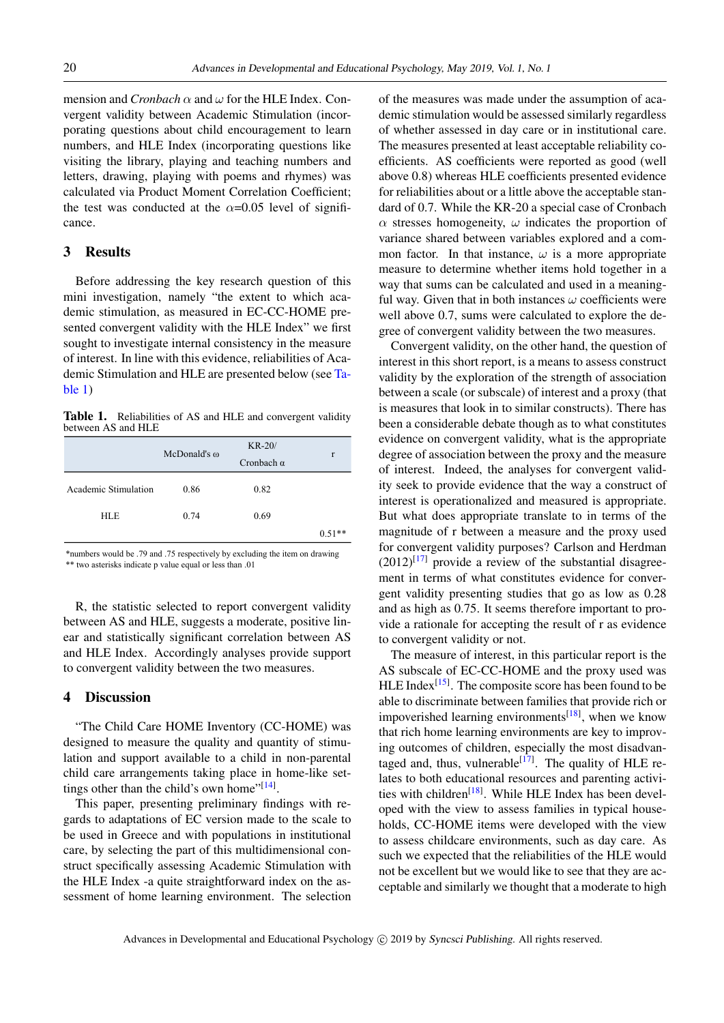mension and *Cronbach*  $\alpha$  and  $\omega$  for the HLE Index. Convergent validity between Academic Stimulation (incorporating questions about child encouragement to learn numbers, and HLE Index (incorporating questions like visiting the library, playing and teaching numbers and letters, drawing, playing with poems and rhymes) was calculated via Product Moment Correlation Coefficient; the test was conducted at the  $\alpha$ =0.05 level of significance.

#### 3 Results

Before addressing the key research question of this mini investigation, namely "the extent to which academic stimulation, as measured in EC-CC-HOME presented convergent validity with the HLE Index" we first sought to investigate internal consistency in the measure of interest. In line with this evidence, reliabilities of Academic Stimulation and HLE are presented below (see [Ta](#page-2-0)[ble 1\)](#page-2-0)

<span id="page-2-0"></span>Table 1. Reliabilities of AS and HLE and convergent validity between AS and HLE

|                      | McDonald's $\omega$ | $KR-20/$          | r        |
|----------------------|---------------------|-------------------|----------|
|                      |                     | Cronbach $\alpha$ |          |
| Academic Stimulation | 0.86                | 0.82              |          |
| <b>HLE</b>           | 0.74                | 0.69              |          |
|                      |                     |                   | $0.51**$ |

\*numbers would be .79 and .75 respectively by excluding the item on drawing \*\* two asterisks indicate p value equal or less than .01

R, the statistic selected to report convergent validity between AS and HLE, suggests a moderate, positive linear and statistically significant correlation between AS and HLE Index. Accordingly analyses provide support to convergent validity between the two measures.

#### 4 Discussion

"The Child Care HOME Inventory (CC-HOME) was designed to measure the quality and quantity of stimulation and support available to a child in non-parental child care arrangements taking place in home-like settings other than the child's own home" $[14]$ .

This paper, presenting preliminary findings with regards to adaptations of EC version made to the scale to be used in Greece and with populations in institutional care, by selecting the part of this multidimensional construct specifically assessing Academic Stimulation with the HLE Index -a quite straightforward index on the assessment of home learning environment. The selection of the measures was made under the assumption of academic stimulation would be assessed similarly regardless of whether assessed in day care or in institutional care. The measures presented at least acceptable reliability coefficients. AS coefficients were reported as good (well above 0.8) whereas HLE coefficients presented evidence for reliabilities about or a little above the acceptable standard of 0.7. While the KR-20 a special case of Cronbach  $\alpha$  stresses homogeneity,  $\omega$  indicates the proportion of variance shared between variables explored and a common factor. In that instance,  $\omega$  is a more appropriate measure to determine whether items hold together in a way that sums can be calculated and used in a meaningful way. Given that in both instances  $\omega$  coefficients were well above 0.7, sums were calculated to explore the degree of convergent validity between the two measures.

Convergent validity, on the other hand, the question of interest in this short report, is a means to assess construct validity by the exploration of the strength of association between a scale (or subscale) of interest and a proxy (that is measures that look in to similar constructs). There has been a considerable debate though as to what constitutes evidence on convergent validity, what is the appropriate degree of association between the proxy and the measure of interest. Indeed, the analyses for convergent validity seek to provide evidence that the way a construct of interest is operationalized and measured is appropriate. But what does appropriate translate to in terms of the magnitude of r between a measure and the proxy used for convergent validity purposes? Carlson and Herdman  $(2012)^{[17]}$  $(2012)^{[17]}$  $(2012)^{[17]}$  provide a review of the substantial disagreement in terms of what constitutes evidence for convergent validity presenting studies that go as low as 0.28 and as high as 0.75. It seems therefore important to provide a rationale for accepting the result of r as evidence to convergent validity or not.

The measure of interest, in this particular report is the AS subscale of EC-CC-HOME and the proxy used was HLE Index<sup>[\[15\]](#page-3-11)</sup>. The composite score has been found to be able to discriminate between families that provide rich or impoverished learning environments<sup>[\[18\]](#page-4-2)</sup>, when we know that rich home learning environments are key to improving outcomes of children, especially the most disadvan-taged and, thus, vulnerable<sup>[\[17\]](#page-4-1)</sup>. The quality of HLE relates to both educational resources and parenting activi-ties with children<sup>[\[18\]](#page-4-2)</sup>. While HLE Index has been developed with the view to assess families in typical households, CC-HOME items were developed with the view to assess childcare environments, such as day care. As such we expected that the reliabilities of the HLE would not be excellent but we would like to see that they are acceptable and similarly we thought that a moderate to high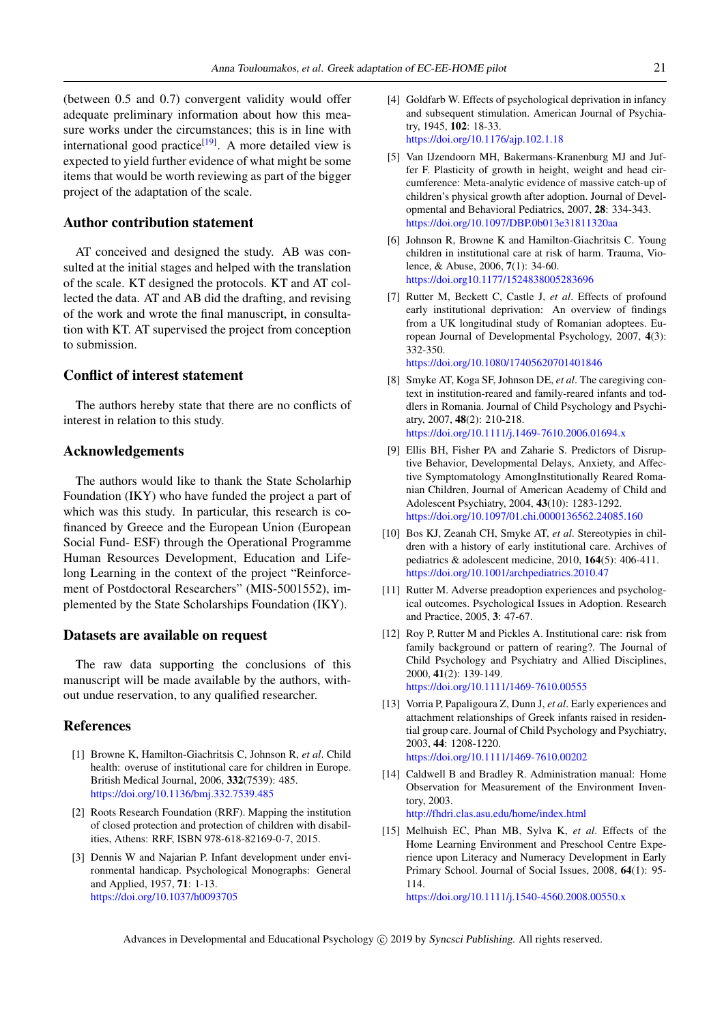(between 0.5 and 0.7) convergent validity would offer adequate preliminary information about how this measure works under the circumstances; this is in line with international good practice<sup>[\[19\]](#page-4-3)</sup>. A more detailed view is expected to yield further evidence of what might be some items that would be worth reviewing as part of the bigger project of the adaptation of the scale.

# Author contribution statement

AT conceived and designed the study. AB was consulted at the initial stages and helped with the translation of the scale. KT designed the protocols. KT and AT collected the data. AT and AB did the drafting, and revising of the work and wrote the final manuscript, in consultation with KT. AT supervised the project from conception to submission.

#### Conflict of interest statement

The authors hereby state that there are no conflicts of interest in relation to this study.

#### Acknowledgements

The authors would like to thank the State Scholarhip Foundation (IKY) who have funded the project a part of which was this study. In particular, this research is cofinanced by Greece and the European Union (European Social Fund- ESF) through the Operational Programme Human Resources Development, Education and Lifelong Learning in the context of the project "Reinforcement of Postdoctoral Researchers" (MIS-5001552), implemented by the State Scholarships Foundation (IKY).

### Datasets are available on request

The raw data supporting the conclusions of this manuscript will be made available by the authors, without undue reservation, to any qualified researcher.

#### References

- <span id="page-3-0"></span>[1] Browne K, Hamilton-Giachritsis C, Johnson R, *et al*. Child health: overuse of institutional care for children in Europe. British Medical Journal, 2006, 332(7539): 485. <https://doi.org/10.1136/bmj.332.7539.485>
- <span id="page-3-1"></span>[2] Roots Research Foundation (RRF). Mapping the institution of closed protection and protection of children with disabilities, Athens: RRF, ISBN 978-618-82169-0-7, 2015.
- <span id="page-3-2"></span>[3] Dennis W and Najarian P. Infant development under environmental handicap. Psychological Monographs: General and Applied, 1957, 71: 1-13. <https://doi.org/10.1037/h0093705>
- [4] Goldfarb W. Effects of psychological deprivation in infancy and subsequent stimulation. American Journal of Psychiatry, 1945, 102: 18-33. <https://doi.org/10.1176/ajp.102.1.18>
- <span id="page-3-8"></span>[5] Van IJzendoorn MH, Bakermans-Kranenburg MJ and Juffer F. Plasticity of growth in height, weight and head circumference: Meta-analytic evidence of massive catch-up of children's physical growth after adoption. Journal of Developmental and Behavioral Pediatrics, 2007, 28: 334-343. <https://doi.org/10.1097/DBP.0b013e31811320aa>
- <span id="page-3-4"></span>[6] Johnson R, Browne K and Hamilton-Giachritsis C. Young children in institutional care at risk of harm. Trauma, Violence, & Abuse, 2006, 7(1): 34-60. <https://doi.org10.1177/1524838005283696>
- [7] Rutter M, Beckett C, Castle J, *et al*. Effects of profound early institutional deprivation: An overview of findings from a UK longitudinal study of Romanian adoptees. European Journal of Developmental Psychology, 2007, 4(3): 332-350. <https://doi.org/10.1080/17405620701401846>
- <span id="page-3-3"></span>[8] Smyke AT, Koga SF, Johnson DE, *et al*. The caregiving context in institution-reared and family-reared infants and toddlers in Romania. Journal of Child Psychology and Psychiatry, 2007, 48(2): 210-218. <https://doi.org/10.1111/j.1469-7610.2006.01694.x>
- <span id="page-3-5"></span>[9] Ellis BH, Fisher PA and Zaharie S. Predictors of Disruptive Behavior, Developmental Delays, Anxiety, and Affective Symptomatology AmongInstitutionally Reared Romanian Children, Journal of American Academy of Child and Adolescent Psychiatry, 2004, 43(10): 1283-1292. <https://doi.org/10.1097/01.chi.0000136562.24085.160>
- <span id="page-3-6"></span>[10] Bos KJ, Zeanah CH, Smyke AT, *et al*. Stereotypies in children with a history of early institutional care. Archives of pediatrics & adolescent medicine, 2010, 164(5): 406-411. <https://doi.org/10.1001/archpediatrics.2010.47>
- <span id="page-3-7"></span>[11] Rutter M. Adverse preadoption experiences and psychological outcomes. Psychological Issues in Adoption. Research and Practice, 2005, 3: 47-67.
- [12] Roy P, Rutter M and Pickles A. Institutional care: risk from family background or pattern of rearing?. The Journal of Child Psychology and Psychiatry and Allied Disciplines, 2000, 41(2): 139-149. <https://doi.org/10.1111/1469-7610.00555>
- <span id="page-3-9"></span>[13] Vorria P, Papaligoura Z, Dunn J, *et al*. Early experiences and attachment relationships of Greek infants raised in residential group care. Journal of Child Psychology and Psychiatry, 2003, 44: 1208-1220. <https://doi.org/10.1111/1469-7610.00202>
- <span id="page-3-10"></span>[14] Caldwell B and Bradley R. Administration manual: Home Observation for Measurement of the Environment Inventory, 2003. <http://fhdri.clas.asu.edu/home/index.html>
- <span id="page-3-11"></span>[15] Melhuish EC, Phan MB, Sylva K, *et al*. Effects of the Home Learning Environment and Preschool Centre Experience upon Literacy and Numeracy Development in Early Primary School. Journal of Social Issues, 2008, 64(1): 95- 114.

<https://doi.org/10.1111/j.1540-4560.2008.00550.x>

Advances in Developmental and Educational Psychology (C) 2019 by Syncsci Publishing. All rights reserved.